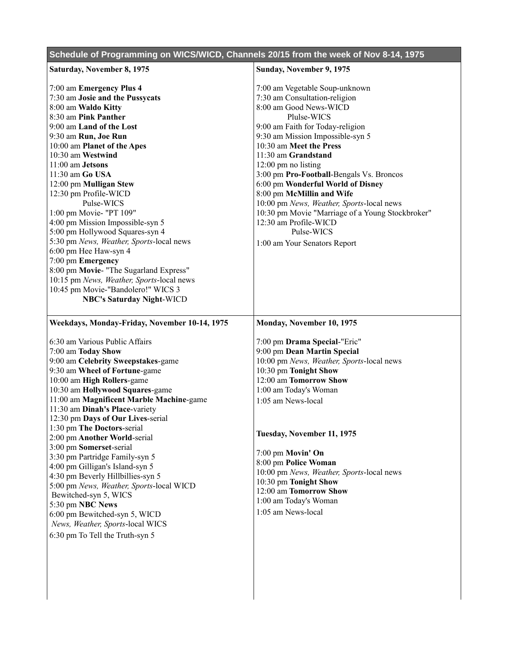| Schedule of Programming on WICS/WICD, Channels 20/15 from the week of Nov 8-14, 1975 |                                                                |
|--------------------------------------------------------------------------------------|----------------------------------------------------------------|
| Saturday, November 8, 1975                                                           | Sunday, November 9, 1975                                       |
| 7:00 am Emergency Plus 4                                                             | 7:00 am Vegetable Soup-unknown                                 |
| 7:30 am Josie and the Pussycats                                                      | 7:30 am Consultation-religion                                  |
| 8:00 am Waldo Kitty                                                                  | 8:00 am Good News-WICD                                         |
| 8:30 am Pink Panther                                                                 | Plulse-WICS                                                    |
| 9:00 am Land of the Lost                                                             | 9:00 am Faith for Today-religion                               |
| 9:30 am Run, Joe Run                                                                 | 9:30 am Mission Impossible-syn 5                               |
| 10:00 am Planet of the Apes                                                          | 10:30 am Meet the Press                                        |
| 10:30 am Westwind                                                                    | 11:30 am Grandstand                                            |
| 11:00 am Jetsons                                                                     | 12:00 pm no listing                                            |
| 11:30 am Go USA                                                                      | 3:00 pm Pro-Football-Bengals Vs. Broncos                       |
| 12:00 pm Mulligan Stew                                                               | 6:00 pm Wonderful World of Disney<br>8:00 pm McMillin and Wife |
| 12:30 pm Profile-WICD<br>Pulse-WICS                                                  | 10:00 pm News, Weather, Sports-local news                      |
| 1:00 pm Movie- "PT 109"                                                              | 10:30 pm Movie "Marriage of a Young Stockbroker"               |
| 4:00 pm Mission Impossible-syn 5                                                     | 12:30 am Profile-WICD                                          |
| 5:00 pm Hollywood Squares-syn 4                                                      | Pulse-WICS                                                     |
| 5:30 pm News, Weather, Sports-local news                                             | 1:00 am Your Senators Report                                   |
| 6:00 pm Hee Haw-syn 4                                                                |                                                                |
| 7:00 pm Emergency                                                                    |                                                                |
| 8:00 pm Movie- "The Sugarland Express"                                               |                                                                |
| 10:15 pm News, Weather, Sports-local news                                            |                                                                |
| 10:45 pm Movie-"Bandolero!" WICS 3                                                   |                                                                |
| <b>NBC's Saturday Night-WICD</b>                                                     |                                                                |
|                                                                                      |                                                                |
| Weekdays, Monday-Friday, November 10-14, 1975                                        | Monday, November 10, 1975                                      |
| 6:30 am Various Public Affairs                                                       | 7:00 pm Drama Special-"Eric"                                   |
| 7:00 am Today Show                                                                   | 9:00 pm Dean Martin Special                                    |
| 9:00 am Celebrity Sweepstakes-game                                                   | 10:00 pm News, Weather, Sports-local news                      |
| 9:30 am Wheel of Fortune-game                                                        | 10:30 pm Tonight Show                                          |
| 10:00 am High Rollers-game                                                           | 12:00 am Tomorrow Show                                         |
| 10:30 am Hollywood Squares-game                                                      | 1:00 am Today's Woman                                          |
| 11:00 am Magnificent Marble Machine-game                                             | 1:05 am News-local                                             |
| 11:30 am Dinah's Place-variety                                                       |                                                                |
| 12:30 pm Days of Our Lives-serial                                                    |                                                                |
| 1:30 pm The Doctors-serial                                                           | Tuesday, November 11, 1975                                     |
| 2:00 pm Another World-serial                                                         |                                                                |
| 3:00 pm Somerset-serial<br>3:30 pm Partridge Family-syn 5                            | 7:00 pm Movin' On                                              |
| 4:00 pm Gilligan's Island-syn 5                                                      | 8:00 pm Police Woman                                           |
| 4:30 pm Beverly Hillbillies-syn 5                                                    | 10:00 pm News, Weather, Sports-local news                      |
| 5:00 pm News, Weather, Sports-local WICD                                             | 10:30 pm Tonight Show                                          |
| Bewitched-syn 5, WICS                                                                | 12:00 am Tomorrow Show                                         |
| 5:30 pm NBC News                                                                     | 1:00 am Today's Woman                                          |
| 6:00 pm Bewitched-syn 5, WICD                                                        | 1:05 am News-local                                             |
| News, Weather, Sports-local WICS                                                     |                                                                |
| 6:30 pm To Tell the Truth-syn 5                                                      |                                                                |
|                                                                                      |                                                                |
|                                                                                      |                                                                |
|                                                                                      |                                                                |
|                                                                                      |                                                                |
|                                                                                      |                                                                |
|                                                                                      |                                                                |